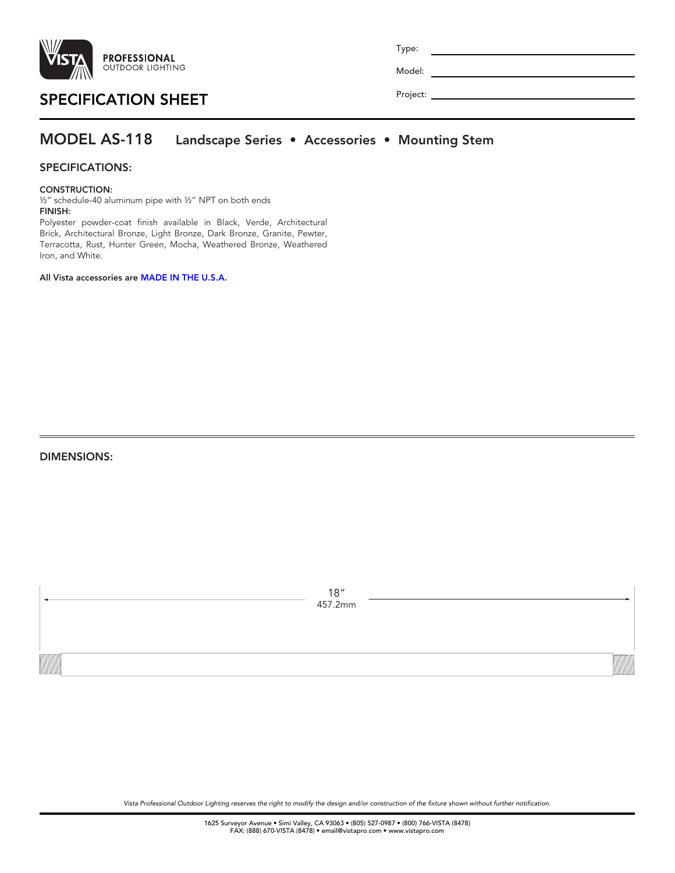

| Type:    |  |
|----------|--|
| Model:   |  |
| Project: |  |

# SPECIFICATION SHEET

### MODEL AS-118 Landscape Series • Accessories • Mounting Stem

### SPECIFICATIONS:

#### CONSTRUCTION:

½" schedule-40 aluminum pipe with ½" NPT on both ends FINISH:

Polyester powder-coat finish available in Black, Verde, Architectural Brick, Architectural Bronze, Light Bronze, Dark Bronze, Granite, Pewter, Terracotta, Rust, Hunter Green, Mocha, Weathered Bronze, Weathered Iron, and White.

All Vista accessories are MADE IN THE U.S.A.

DIMENSIONS:

| 18"<br>457.2mm |  |
|----------------|--|
|                |  |

*Vista Professional Outdoor Lighting reserves the right to modify the design and/or construction of the fixture shown without further notification.*